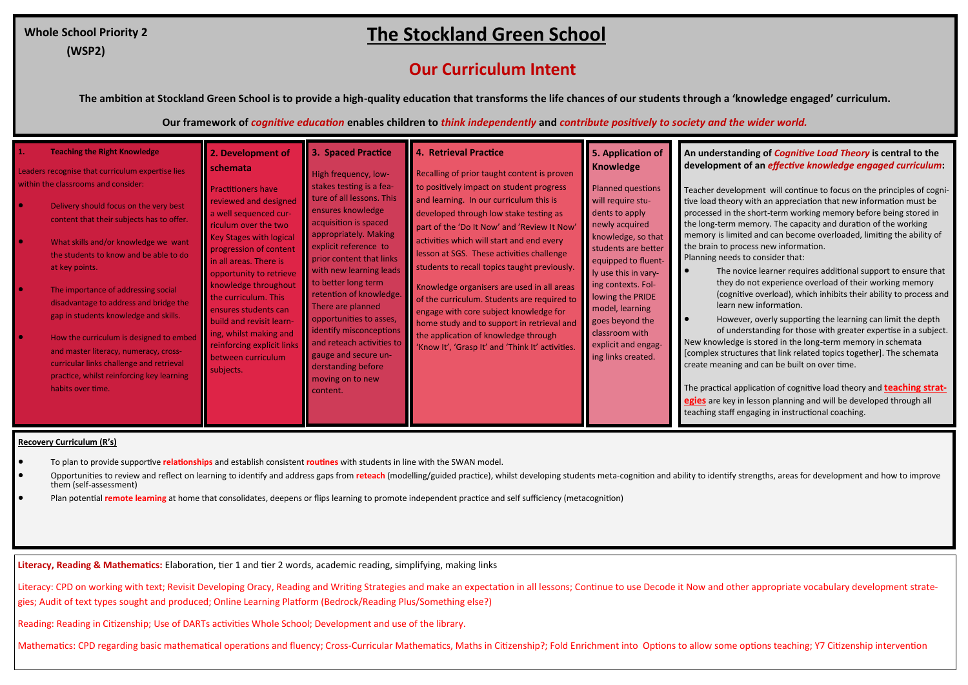## **The Stockland Green School**

## **Our Curriculum Intent**

**The ambition at Stockland Green School is to provide a high-quality education that transforms the life chances of our students through a 'knowledge engaged' curriculum.** 

**Our framework of** *cognitive education* **enables children to** *think independently* **and** *contribute positively to society and the wider world.*

| 3. Spaced Practice<br><b>Teaching the Right Knowledge</b><br>2. Development of<br>$\mathbf{1}$ .<br><b>schemata</b><br>Leaders recognise that curriculum expertise lies<br>High frequency, low-<br>within the classrooms and consider:<br>stakes testing is a fea-<br><b>Practitioners have</b><br>ture of all lessons. This<br>reviewed and designed<br>Delivery should focus on the very best<br>ensures knowledge<br>a well sequenced cur-<br>content that their subjects has to offer.<br>acquisition is spaced<br>riculum over the two<br>appropriately. Making<br><b>Key Stages with logical</b><br>What skills and/or knowledge we want<br>explicit reference to<br>progression of content<br>the students to know and be able to do<br>prior content that links<br>in all areas. There is<br>at key points.<br>with new learning leads<br>opportunity to retrieve<br>to better long term<br>knowledge throughout<br>The importance of addressing social<br>retention of knowledge.<br>the curriculum. This<br>disadvantage to address and bridge the<br>There are planned<br>ensures students can<br>gap in students knowledge and skills.<br>opportunities to asses,<br>build and revisit learn-<br>identify misconceptions<br>ing, whilst making and<br>How the curriculum is designed to embed<br>and reteach activities to<br>reinforcing explicit links<br>and master literacy, numeracy, cross-<br>gauge and secure un-<br>between curriculum<br>curricular links challenge and retrieval<br>derstanding before<br>subjects.<br>practice, whilst reinforcing key learning<br>moving on to new<br>habits over time.<br>content. | <b>4. Retrieval Practice</b><br>Recalling of prior taught content is proven<br>to positively impact on student progress<br>and learning. In our curriculum this is<br>developed through low stake testing as<br>part of the 'Do It Now' and 'Review It Now'<br>activities which will start and end every<br>lesson at SGS. These activities challenge<br>students to recall topics taught previously.<br>Knowledge organisers are used in all areas<br>of the curriculum. Students are required to<br>engage with core subject knowledge for<br>home study and to support in retrieval and<br>the application of knowledge through<br>'Know It', 'Grasp It' and 'Think It' activities. | 5. Application of<br>Knowledge<br>Planned questions<br>will require stu-<br>dents to apply<br>newly acquired<br>knowledge, so that<br>students are better<br>equipped to fluent-<br>ly use this in vary-<br>ing contexts. Fol-<br>lowing the PRIDE<br>model, learning<br>goes beyond the<br>classroom with<br>explicit and engag-<br>ing links created. | An understanding of <i>Cognitive Load Theory</i> is central to the<br>development of an <i>effective knowledge engaged curriculum</i> :<br>Teacher development will continue to focus on the principles of cogni-<br>tive load theory with an appreciation that new information must be<br>processed in the short-term working memory before being stored in<br>the long-term memory. The capacity and duration of the working<br>memory is limited and can become overloaded, limiting the ability of<br>the brain to process new information.<br>Planning needs to consider that:<br>The novice learner requires additional support to ensure that<br>they do not experience overload of their working memory<br>(cognitive overload), which inhibits their ability to process and<br>learn new information.<br>However, overly supporting the learning can limit the depth<br>of understanding for those with greater expertise in a subject.<br>New knowledge is stored in the long-term memory in schemata<br>Complex structures that link related topics together]. The schemata<br>create meaning and can be built on over time.<br>The practical application of cognitive load theory and <b>teaching strat-</b><br>egies are key in lesson planning and will be developed through all<br>teaching staff engaging in instructional coaching. |
|----------------------------------------------------------------------------------------------------------------------------------------------------------------------------------------------------------------------------------------------------------------------------------------------------------------------------------------------------------------------------------------------------------------------------------------------------------------------------------------------------------------------------------------------------------------------------------------------------------------------------------------------------------------------------------------------------------------------------------------------------------------------------------------------------------------------------------------------------------------------------------------------------------------------------------------------------------------------------------------------------------------------------------------------------------------------------------------------------------------------------------------------------------------------------------------------------------------------------------------------------------------------------------------------------------------------------------------------------------------------------------------------------------------------------------------------------------------------------------------------------------------------------------------------------------------------------------------------------------------------------------------------|----------------------------------------------------------------------------------------------------------------------------------------------------------------------------------------------------------------------------------------------------------------------------------------------------------------------------------------------------------------------------------------------------------------------------------------------------------------------------------------------------------------------------------------------------------------------------------------------------------------------------------------------------------------------------------------|---------------------------------------------------------------------------------------------------------------------------------------------------------------------------------------------------------------------------------------------------------------------------------------------------------------------------------------------------------|------------------------------------------------------------------------------------------------------------------------------------------------------------------------------------------------------------------------------------------------------------------------------------------------------------------------------------------------------------------------------------------------------------------------------------------------------------------------------------------------------------------------------------------------------------------------------------------------------------------------------------------------------------------------------------------------------------------------------------------------------------------------------------------------------------------------------------------------------------------------------------------------------------------------------------------------------------------------------------------------------------------------------------------------------------------------------------------------------------------------------------------------------------------------------------------------------------------------------------------------------------------------------------------------------------------------------------------------------|
|----------------------------------------------------------------------------------------------------------------------------------------------------------------------------------------------------------------------------------------------------------------------------------------------------------------------------------------------------------------------------------------------------------------------------------------------------------------------------------------------------------------------------------------------------------------------------------------------------------------------------------------------------------------------------------------------------------------------------------------------------------------------------------------------------------------------------------------------------------------------------------------------------------------------------------------------------------------------------------------------------------------------------------------------------------------------------------------------------------------------------------------------------------------------------------------------------------------------------------------------------------------------------------------------------------------------------------------------------------------------------------------------------------------------------------------------------------------------------------------------------------------------------------------------------------------------------------------------------------------------------------------------|----------------------------------------------------------------------------------------------------------------------------------------------------------------------------------------------------------------------------------------------------------------------------------------------------------------------------------------------------------------------------------------------------------------------------------------------------------------------------------------------------------------------------------------------------------------------------------------------------------------------------------------------------------------------------------------|---------------------------------------------------------------------------------------------------------------------------------------------------------------------------------------------------------------------------------------------------------------------------------------------------------------------------------------------------------|------------------------------------------------------------------------------------------------------------------------------------------------------------------------------------------------------------------------------------------------------------------------------------------------------------------------------------------------------------------------------------------------------------------------------------------------------------------------------------------------------------------------------------------------------------------------------------------------------------------------------------------------------------------------------------------------------------------------------------------------------------------------------------------------------------------------------------------------------------------------------------------------------------------------------------------------------------------------------------------------------------------------------------------------------------------------------------------------------------------------------------------------------------------------------------------------------------------------------------------------------------------------------------------------------------------------------------------------------|

## **Recovery Curriculum (R's)**

- To plan to provide supportive **relationships** and establish consistent **routines** with students in line with the SWAN model.
- Opportunities to review and reflect on learning to identify and address gaps from reteach (modelling/guided practice), whilst developing students meta-cognition and ability to identify strengths, areas for development and them (self-assessment)
- Plan potential **remote learning** at home that consolidates, deepens or flips learning to promote independent practice and self sufficiency (metacognition)

**Literacy, Reading & Mathematics:** Elaboration, tier 1 and tier 2 words, academic reading, simplifying, making links

Literacy: CPD on working with text; Revisit Developing Oracy, Reading and Writing Strategies and make an expectation in all lessons; Continue to use Decode it Now and other appropriate vocabulary development strategies; Audit of text types sought and produced; Online Learning Platform (Bedrock/Reading Plus/Something else?)

Reading: Reading in Citizenship; Use of DARTs activities Whole School; Development and use of the library.

Mathematics: CPD regarding basic mathematical operations and fluency; Cross-Curricular Mathematics, Maths in Citizenship?; Fold Enrichment into Options to allow some options teaching; Y7 Citizenship intervention